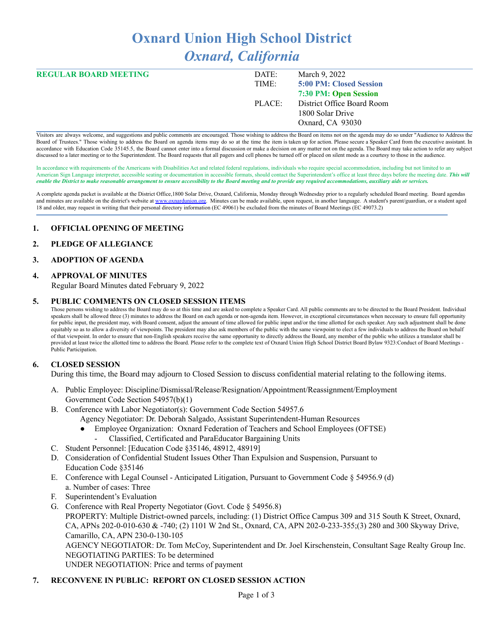# **Oxnard Union High School District** *Oxnard, California*

| <b>REGULAR BOARD MEETING</b> | DATE:  | March 9, 2022              |
|------------------------------|--------|----------------------------|
|                              | TIME:  | 5:00 PM: Closed Session    |
|                              |        | 7:30 PM: Open Session      |
|                              | PLACE: | District Office Board Room |
|                              |        | 1800 Solar Drive           |
|                              |        | Oxnard, CA 93030           |

Visitors are always welcome, and suggestions and public comments are encouraged. Those wishing to address the Board on items not on the agenda may do so under "Audience to Address the Board of Trustees." Those wishing to address the Board on agenda items may do so at the time the item is taken up for action. Please secure a Speaker Card from the executive assistant. In accordance with Education Code 35145.5, the Board cannot enter into a formal discussion or make a decision on any matter not on the agenda. The Board may take action to refer any subject discussed to a later meeting or to the Superintendent. The Board requests that all pagers and cell phones be turned off or placed on silent mode as a courtesy to those in the audience.

In accordance with requirements of the Americans with Disabilities Act and related federal regulations, individuals who require special accommodation, including but not limited to an American Sign Language interpreter, accessible seating or documentation in accessible formats, should contact the Superintendent's office at least three days before the meeting date. *This will* enable the District to make reasonable arrangement to ensure accessibility to the Board meeting and to provide any required accommodations, auxiliary aids or services.

A complete agenda packet is available at the District Office,1800 Solar Drive, Oxnard, California, Monday through Wednesday prior to a regularly scheduled Board meeting. Board agendas and minutes are available on the district's website at [www.o](http://www.o)xnardunion.org. Minutes can be made available, upon request, in another language. A student's parent/guardian, or a student aged 18 and older, may request in writing that their personal directory information (EC 49061) be excluded from the minutes of Board Meetings (EC 49073.2)

#### **1. OFFICIAL OPENING OF MEETING**

#### **2. PLEDGE OF ALLEGIANCE**

#### **3. ADOPTION OF AGENDA**

#### **4. APPROVAL OF MINUTES**

Regular Board Minutes dated February 9, 2022

#### **5. PUBLIC COMMENTS ON CLOSED SESSION ITEMS**

Those persons wishing to address the Board may do so at this time and are asked to complete a Speaker Card. All public comments are to be directed to the Board President. Individual speakers shall be allowed three (3) minutes to address the Board on each agenda or non-agenda item. However, in exceptional circumstances when necessary to ensure full opportunity for public input, the president may, with Board consent, adjust the amount of time allowed for public input and/or the time allotted for each speaker. Any such adjustment shall be done equitably so as to allow a diversity of viewpoints. The president may also ask members of the public with the same viewpoint to elect a few individuals to address the Board on behalf of that viewpoint. In order to ensure that non-English speakers receive the same opportunity to directly address the Board, any member of the public who utilizes a translator shall be provided at least twice the allotted time to address the Board. Please refer to the complete text of Oxnard Union High School District Board Bylaw 9323:Conduct of Board Meetings -Public Participation.

#### **6. CLOSED SESSION**

During this time, the Board may adjourn to Closed Session to discuss confidential material relating to the following items.

- A. Public Employee: Discipline/Dismissal/Release/Resignation/Appointment/Reassignment/Employment Government Code Section 54957(b)(1)
- B. Conference with Labor Negotiator(s): Government Code Section 54957.6
	- Agency Negotiator: Dr. Deborah Salgado, Assistant Superintendent-Human Resources
	- Employee Organization: Oxnard Federation of Teachers and School Employees (OFTSE) - Classified, Certificated and ParaEducator Bargaining Units
- C. Student Personnel: [Education Code §35146, 48912, 48919]
- D. Consideration of Confidential Student Issues Other Than Expulsion and Suspension, Pursuant to Education Code §35146
- E. Conference with Legal Counsel Anticipated Litigation, Pursuant to Government Code § 54956.9 (d) a. Number of cases: Three
- F. Superintendent's Evaluation
- G. Conference with Real Property Negotiator (Govt. Code § 54956.8) PROPERTY: Multiple District-owned parcels, including: (1) District Office Campus 309 and 315 South K Street, Oxnard, CA, APNs 202-0-010-630 & -740; (2) 1101 W 2nd St., Oxnard, CA, APN 202-0-233-355;(3) 280 and 300 Skyway Drive, Camarillo, CA, APN 230-0-130-105 AGENCY NEGOTIATOR: Dr. Tom McCoy, Superintendent and Dr. Joel Kirschenstein, Consultant Sage Realty Group Inc. NEGOTIATING PARTIES: To be determined UNDER NEGOTIATION: Price and terms of payment

#### **7. RECONVENE IN PUBLIC: REPORT ON CLOSED SESSION ACTION**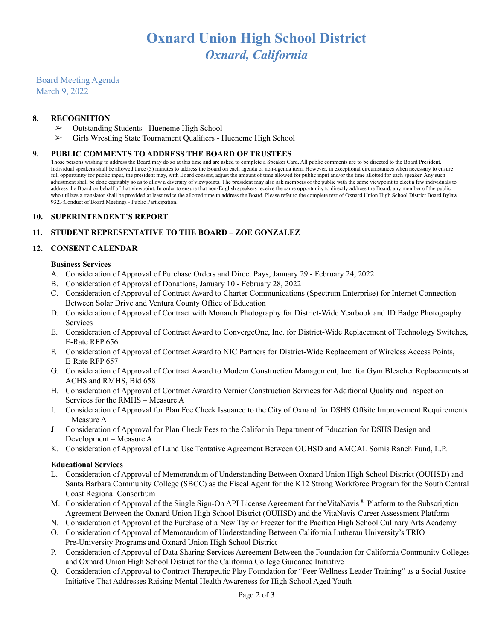Board Meeting Agenda March 9, 2022

#### **8. RECOGNITION**

- ➢ Outstanding Students Hueneme High School
- ➢ Girls Wrestling State Tournament Qualifiers Hueneme High School

#### **9. PUBLIC COMMENTS TO ADDRESS THE BOARD OF TRUSTEES**

Those persons wishing to address the Board may do so at this time and are asked to complete a Speaker Card. All public comments are to be directed to the Board President. Individual speakers shall be allowed three (3) minutes to address the Board on each agenda or non-agenda item. However, in exceptional circumstances when necessary to ensure full opportunity for public input, the president may, with Board consent, adjust the amount of time allowed for public input and/or the time allotted for each speaker. Any such adjustment shall be done equitably so as to allow a diversity of viewpoints. The president may also ask members of the public with the same viewpoint to elect a few individuals to address the Board on behalf of that viewpoint. In order to ensure that non-English speakers receive the same opportunity to directly address the Board, any member of the public who utilizes a translator shall be provided at least twice the allotted time to address the Board. Please refer to the complete text of Oxnard Union High School District Board Bylaw 9323:Conduct of Board Meetings - Public Participation.

#### **10. SUPERINTENDENT'S REPORT**

#### **11. STUDENT REPRESENTATIVE TO THE BOARD – ZOE GONZALEZ**

#### **12. CONSENT CALENDAR**

#### **Business Services**

- A. Consideration of Approval of Purchase Orders and Direct Pays, January 29 February 24, 2022
- B. Consideration of Approval of Donations, January 10 February 28, 2022
- C. Consideration of Approval of Contract Award to Charter Communications (Spectrum Enterprise) for Internet Connection Between Solar Drive and Ventura County Office of Education
- D. Consideration of Approval of Contract with Monarch Photography for District-Wide Yearbook and ID Badge Photography Services
- E. Consideration of Approval of Contract Award to ConvergeOne, Inc. for District-Wide Replacement of Technology Switches, E-Rate RFP 656
- F. Consideration of Approval of Contract Award to NIC Partners for District-Wide Replacement of Wireless Access Points, E-Rate RFP 657
- G. Consideration of Approval of Contract Award to Modern Construction Management, Inc. for Gym Bleacher Replacements at ACHS and RMHS, Bid 658
- H. Consideration of Approval of Contract Award to Vernier Construction Services for Additional Quality and Inspection Services for the RMHS – Measure A
- I. Consideration of Approval for Plan Fee Check Issuance to the City of Oxnard for DSHS Offsite Improvement Requirements – Measure A
- J. Consideration of Approval for Plan Check Fees to the California Department of Education for DSHS Design and Development – Measure A
- K. Consideration of Approval of Land Use Tentative Agreement Between OUHSD and AMCAL Somis Ranch Fund, L.P.

#### **Educational Services**

- L. Consideration of Approval of Memorandum of Understanding Between Oxnard Union High School District (OUHSD) and Santa Barbara Community College (SBCC) as the Fiscal Agent for the K12 Strong Workforce Program for the South Central Coast Regional Consortium
- M. Consideration of Approval of the Single Sign-On API License Agreement for the VitaNavis<sup>®</sup> Platform to the Subscription Agreement Between the Oxnard Union High School District (OUHSD) and the VitaNavis Career Assessment Platform
- N. Consideration of Approval of the Purchase of a New Taylor Freezer for the Pacifica High School Culinary Arts Academy
- O. Consideration of Approval of Memorandum of Understanding Between California Lutheran University's TRIO Pre-University Programs and Oxnard Union High School District
- P. Consideration of Approval of Data Sharing Services Agreement Between the Foundation for California Community Colleges and Oxnard Union High School District for the California College Guidance Initiative
- Q. Consideration of Approval to Contract Therapeutic Play Foundation for "Peer Wellness Leader Training" as a Social Justice Initiative That Addresses Raising Mental Health Awareness for High School Aged Youth